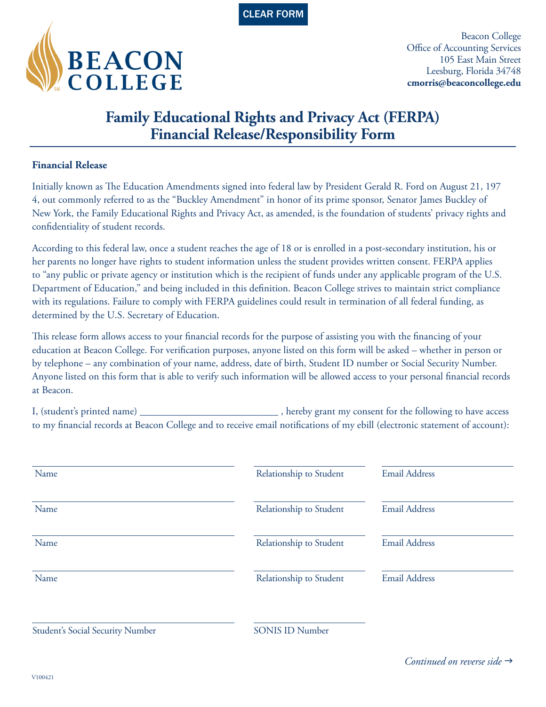



Beacon College Office of Accounting Services 105 East Main Street Leesburg, Florida 34748 **cmorris@beaconcollege.edu**

## **Family Educational Rights and Privacy Act (FERPA) Financial Release/Responsibility Form**

## **Financial Release**

Initially known as The Education Amendments signed into federal law by President Gerald R. Ford on August 21, 197 4, out commonly referred to as the "Buckley Amendment" in honor of its prime sponsor, Senator James Buckley of New York, the Family Educational Rights and Privacy Act, as amended, is the foundation of students' privacy rights and confidentiality of student records.

According to this federal law, once a student reaches the age of 18 or is enrolled in a post-secondary institution, his or her parents no longer have rights to student information unless the student provides written consent. FERPA applies to "any public or private agency or institution which is the recipient of funds under any applicable program of the U.S. Department of Education," and being included in this definition. Beacon College strives to maintain strict compliance with its regulations. Failure to comply with FERPA guidelines could result in termination of all federal funding, as determined by the U.S. Secretary of Education.

This release form allows access to your financial records for the purpose of assisting you with the financing of your education at Beacon College. For verification purposes, anyone listed on this form will be asked – whether in person or by telephone – any combination of your name, address, date of birth, Student ID number or Social Security Number. Anyone listed on this form that is able to verify such information will be allowed access to your personal financial records at Beacon.

I, (student's printed name) \_\_\_\_\_\_\_\_\_\_\_\_\_\_\_\_\_\_\_\_\_\_\_\_\_\_\_, hereby grant my consent for the following to have access to my financial records at Beacon College and to receive email notifications of my ebill (electronic statement of account):

| Name                             | Relationship to Student | <b>Email Address</b> |
|----------------------------------|-------------------------|----------------------|
| Name                             | Relationship to Student | <b>Email Address</b> |
| Name                             | Relationship to Student | <b>Email Address</b> |
| Name                             | Relationship to Student | <b>Email Address</b> |
| Student's Social Security Number | <b>SONIS ID Number</b>  |                      |

Continued on reverse side  $\rightarrow$